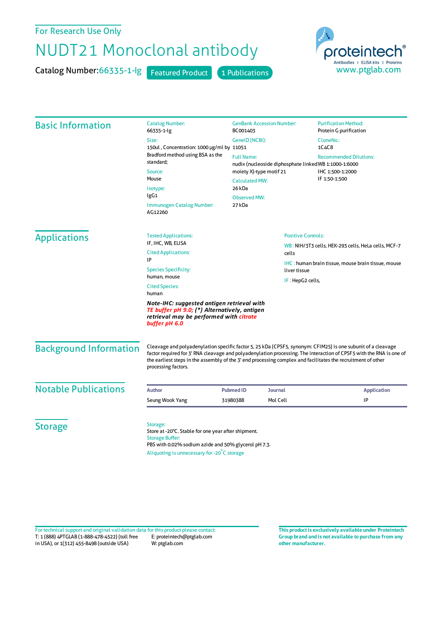For Research Use Only

## NUDT21 Monoclonal antibody

Catalog Number: 66335-1-lg Featured Product 1 Publications



| <b>Basic Information</b>                                                                                                                               | <b>Catalog Number:</b><br>66335-1-lg                                                                                                                                                                                                                                                                                                                                       | <b>GenBank Accession Number:</b><br>BC001403<br>GenelD (NCBI):                    |                                                                                        | <b>Purification Method:</b><br>Protein G purification                                                                                                 |                           |
|--------------------------------------------------------------------------------------------------------------------------------------------------------|----------------------------------------------------------------------------------------------------------------------------------------------------------------------------------------------------------------------------------------------------------------------------------------------------------------------------------------------------------------------------|-----------------------------------------------------------------------------------|----------------------------------------------------------------------------------------|-------------------------------------------------------------------------------------------------------------------------------------------------------|---------------------------|
|                                                                                                                                                        | Size:<br>150ul, Concentration: 1000 µg/ml by 11051<br>Bradford method using BSA as the<br>standard;<br>Source:<br>Mouse<br>Isotype:<br>IgG1<br>Immunogen Catalog Number:<br>AG12260                                                                                                                                                                                        |                                                                                   |                                                                                        | CloneNo.:<br>1C4C8                                                                                                                                    |                           |
|                                                                                                                                                        |                                                                                                                                                                                                                                                                                                                                                                            | <b>Full Name:</b>                                                                 | <b>Recommended Dilutions:</b><br>nudix (nucleoside diphosphate linked WB 1:1000-1:6000 |                                                                                                                                                       |                           |
|                                                                                                                                                        |                                                                                                                                                                                                                                                                                                                                                                            | moiety X)-type motif 21<br><b>Calculated MW:</b><br>26 kDa<br><b>Observed MW:</b> |                                                                                        | IHC 1:500-1:2000<br>IF 1:50-1:500                                                                                                                     |                           |
|                                                                                                                                                        |                                                                                                                                                                                                                                                                                                                                                                            |                                                                                   |                                                                                        |                                                                                                                                                       | 27 kDa                    |
|                                                                                                                                                        |                                                                                                                                                                                                                                                                                                                                                                            | <b>Applications</b>                                                               | <b>Tested Applications:</b><br>IF, IHC, WB, ELISA                                      |                                                                                                                                                       | <b>Positive Controls:</b> |
| <b>Cited Applications:</b>                                                                                                                             |                                                                                                                                                                                                                                                                                                                                                                            |                                                                                   | cells                                                                                  | WB: NIH/3T3 cells, HEK-293 cells, HeLa cells, MCF-7<br><b>IHC</b> : human brain tissue, mouse brain tissue, mouse<br>liver tissue<br>IF: HepG2 cells, |                           |
| IP<br><b>Species Specificity:</b>                                                                                                                      |                                                                                                                                                                                                                                                                                                                                                                            |                                                                                   |                                                                                        |                                                                                                                                                       |                           |
| human, mouse<br><b>Cited Species:</b><br>human                                                                                                         |                                                                                                                                                                                                                                                                                                                                                                            |                                                                                   |                                                                                        |                                                                                                                                                       |                           |
| Note-IHC: suggested antigen retrieval with<br>TE buffer pH 9.0; (*) Alternatively, antigen<br>retrieval may be performed with citrate<br>buffer pH 6.0 |                                                                                                                                                                                                                                                                                                                                                                            |                                                                                   |                                                                                        |                                                                                                                                                       |                           |
| <b>Background Information</b>                                                                                                                          | Cleavage and polyadenylation specific factor 5, 25 kDa (CPSF5, synonym: CFIM25) is one subunit of a cleavage<br>factor required for 3' RNA cleavage and polyadenylation processing. The interaction of CPSF5 with the RNA is one of<br>the earliest steps in the assembly of the 3' end processing complex and facilitates the recruitment of other<br>processing factors. |                                                                                   |                                                                                        |                                                                                                                                                       |                           |
| <b>Notable Publications</b>                                                                                                                            | Author                                                                                                                                                                                                                                                                                                                                                                     | <b>Pubmed ID</b>                                                                  | <b>Journal</b>                                                                         | <b>Application</b>                                                                                                                                    |                           |
|                                                                                                                                                        | Seung Wook Yang                                                                                                                                                                                                                                                                                                                                                            | 31980388                                                                          | Mol Cell                                                                               | IP                                                                                                                                                    |                           |
| <b>Storage</b>                                                                                                                                         | Storage:<br>Store at -20°C. Stable for one year after shipment.<br><b>Storage Buffer:</b><br>PBS with 0.02% sodium azide and 50% glycerol pH 7.3.<br>Aliquoting is unnecessary for -20°C storage                                                                                                                                                                           |                                                                                   |                                                                                        |                                                                                                                                                       |                           |

T: 1 (888) 4PTGLAB (1-888-478-4522) (toll free in USA), or 1(312) 455-8498 (outside USA) E: proteintech@ptglab.com W: ptglab.com Fortechnical support and original validation data forthis product please contact: **This productis exclusively available under Proteintech**

**Group brand and is not available to purchase from any other manufacturer.**